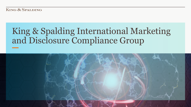**KING & SPALDING** 

# King & Spalding International Marketing and Disclosure Compliance Group

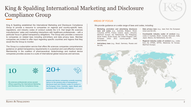### King & Spalding International Marketing and Disclosure Compliance Group

King & Spalding established the International Marketing and Disclosure Compliance Group to provide a resource to companies on regional and country-specific laws, regulations, and industry codes of conduct outside the U.S. that target life sciences manufacturers' sales and marketing interactions with healthcare professionals – with a particular focus in global transparency obligations. The Group also provides a resource to companies on related laws including anti-bribery and data privacy laws. Member companies are invited to offer input regarding specific countries and regions that they would like the Group to monitor.

The Group is a subscription service that offers life sciences companies comprehensive guidance on global transparency requirements in a practical and cost-effective manner. Membership in the coalition of pharmaceutical, biotechnology and medical device companies provides access to a suite of international global resources and services.



life sciences professionals across several offices supporting the International Marketing and Disclosure Ad Hoc Compliance Group.

20+

pharma and device companies currently receiving advice on the growing area of transparency/ disclosure laws and industry codes of conduct in the European Union, Australia, Japan, Brazil, and numerous other countries and regions.

### AREAS OF FOCUS

We provide guidance on a wide range of laws and codes, including:

- **Marketing, promotion and advertising disclosure laws and codes** (e.g., Australia, Belgium, Brazil, Colombia, EFPIA, France, Iceland, Japan, Lithuania, MedTech Europe, the Netherlands, the Philippines, Saudi Arabia, South Korea, the United Kingdom (UK), European Union (EU) country-specific trade associations)
- **Anti-bribery laws** (e.g., Brazil, Germany, Russia and the UK)
- **Data privacy laws** (e.g., laws from the European Union and the UK)
- **Countrywide industry codes of conduct** (e.g., codes in Australia, Brazil, Canada, Denmark, India, Japan, Mexico, the Netherlands, the UK)
- **Regional industry codes of conduct** (e.g., codes from the IFPMA, EFPIA, Medicines for Europe, MedTech Europe)